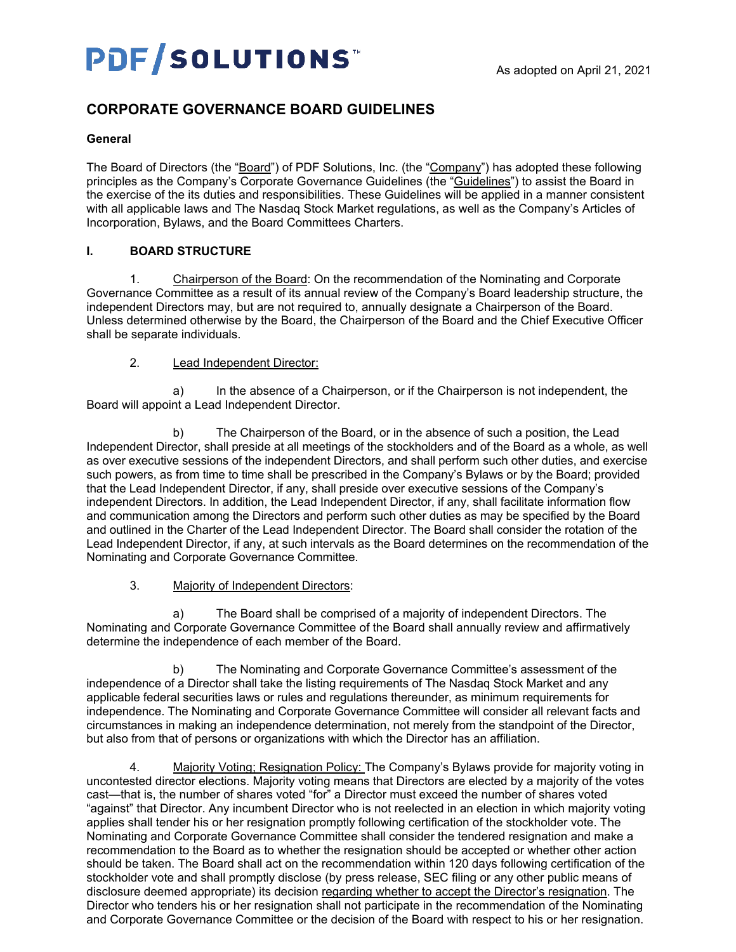# **PDF/SOLUTIONS**

# **CORPORATE GOVERNANCE BOARD GUIDELINES**

#### **General**

The Board of Directors (the "Board") of PDF Solutions, Inc. (the "Company") has adopted these following principles as the Company's Corporate Governance Guidelines (the "Guidelines") to assist the Board in the exercise of the its duties and responsibilities. These Guidelines will be applied in a manner consistent with all applicable laws and The Nasdaq Stock Market regulations, as well as the Company's Articles of Incorporation, Bylaws, and the Board Committees Charters.

## **I. BOARD STRUCTURE**

1. Chairperson of the Board: On the recommendation of the Nominating and Corporate Governance Committee as a result of its annual review of the Company's Board leadership structure, the independent Directors may, but are not required to, annually designate a Chairperson of the Board. Unless determined otherwise by the Board, the Chairperson of the Board and the Chief Executive Officer shall be separate individuals.

#### 2. Lead Independent Director:

a) In the absence of a Chairperson, or if the Chairperson is not independent, the Board will appoint a Lead Independent Director.

b) The Chairperson of the Board, or in the absence of such a position, the Lead Independent Director, shall preside at all meetings of the stockholders and of the Board as a whole, as well as over executive sessions of the independent Directors, and shall perform such other duties, and exercise such powers, as from time to time shall be prescribed in the Company's Bylaws or by the Board; provided that the Lead Independent Director, if any, shall preside over executive sessions of the Company's independent Directors. In addition, the Lead Independent Director, if any, shall facilitate information flow and communication among the Directors and perform such other duties as may be specified by the Board and outlined in the Charter of the Lead Independent Director. The Board shall consider the rotation of the Lead Independent Director, if any, at such intervals as the Board determines on the recommendation of the Nominating and Corporate Governance Committee.

#### 3. Majority of Independent Directors:

a) The Board shall be comprised of a majority of independent Directors. The Nominating and Corporate Governance Committee of the Board shall annually review and affirmatively determine the independence of each member of the Board.

b) The Nominating and Corporate Governance Committee's assessment of the independence of a Director shall take the listing requirements of The Nasdaq Stock Market and any applicable federal securities laws or rules and regulations thereunder, as minimum requirements for independence. The Nominating and Corporate Governance Committee will consider all relevant facts and circumstances in making an independence determination, not merely from the standpoint of the Director, but also from that of persons or organizations with which the Director has an affiliation.

4. Majority Voting; Resignation Policy: The Company's Bylaws provide for majority voting in uncontested director elections. Majority voting means that Directors are elected by a majority of the votes cast—that is, the number of shares voted "for" a Director must exceed the number of shares voted "against" that Director. Any incumbent Director who is not reelected in an election in which majority voting applies shall tender his or her resignation promptly following certification of the stockholder vote. The Nominating and Corporate Governance Committee shall consider the tendered resignation and make a recommendation to the Board as to whether the resignation should be accepted or whether other action should be taken. The Board shall act on the recommendation within 120 days following certification of the stockholder vote and shall promptly disclose (by press release, SEC filing or any other public means of disclosure deemed appropriate) its decision regarding whether to accept the Director's resignation. The Director who tenders his or her resignation shall not participate in the recommendation of the Nominating and Corporate Governance Committee or the decision of the Board with respect to his or her resignation.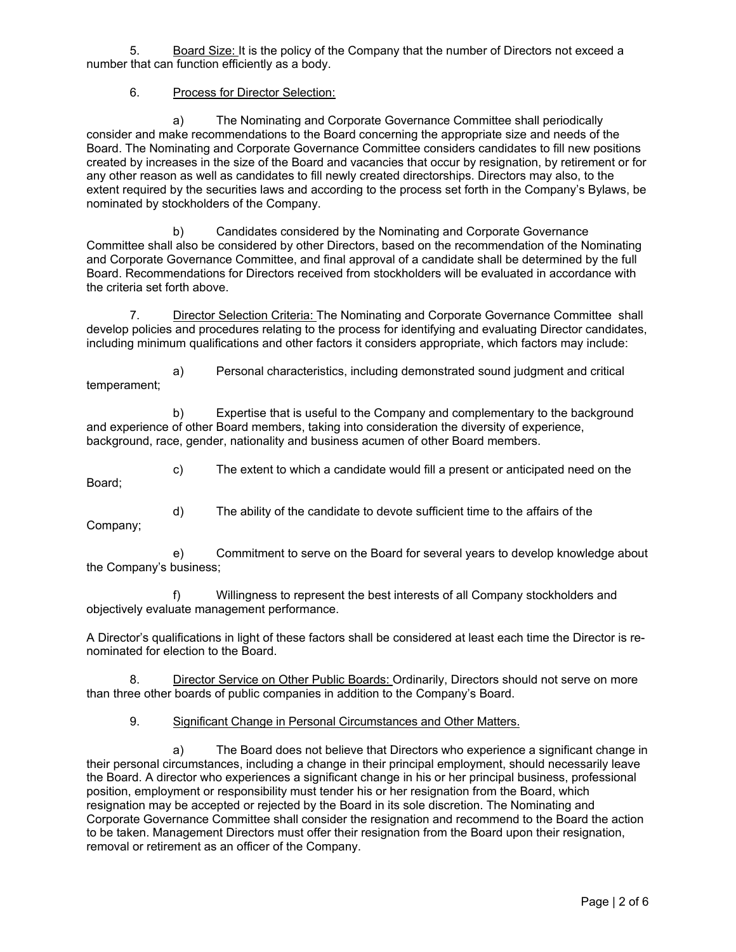5. Board Size: It is the policy of the Company that the number of Directors not exceed a number that can function efficiently as a body.

#### 6. Process for Director Selection:

a) The Nominating and Corporate Governance Committee shall periodically consider and make recommendations to the Board concerning the appropriate size and needs of the Board. The Nominating and Corporate Governance Committee considers candidates to fill new positions created by increases in the size of the Board and vacancies that occur by resignation, by retirement or for any other reason as well as candidates to fill newly created directorships. Directors may also, to the extent required by the securities laws and according to the process set forth in the Company's Bylaws, be nominated by stockholders of the Company.

b) Candidates considered by the Nominating and Corporate Governance Committee shall also be considered by other Directors, based on the recommendation of the Nominating and Corporate Governance Committee, and final approval of a candidate shall be determined by the full Board. Recommendations for Directors received from stockholders will be evaluated in accordance with the criteria set forth above.

7. Director Selection Criteria: The Nominating and Corporate Governance Committee shall develop policies and procedures relating to the process for identifying and evaluating Director candidates, including minimum qualifications and other factors it considers appropriate, which factors may include:

a) Personal characteristics, including demonstrated sound judgment and critical temperament;

b) Expertise that is useful to the Company and complementary to the background and experience of other Board members, taking into consideration the diversity of experience, background, race, gender, nationality and business acumen of other Board members.

c) The extent to which a candidate would fill a present or anticipated need on the

Board;

d) The ability of the candidate to devote sufficient time to the affairs of the

Company;

e) Commitment to serve on the Board for several years to develop knowledge about the Company's business;

f) Willingness to represent the best interests of all Company stockholders and objectively evaluate management performance.

A Director's qualifications in light of these factors shall be considered at least each time the Director is renominated for election to the Board.

8. Director Service on Other Public Boards: Ordinarily, Directors should not serve on more than three other boards of public companies in addition to the Company's Board.

9. Significant Change in Personal Circumstances and Other Matters.

a) The Board does not believe that Directors who experience a significant change in their personal circumstances, including a change in their principal employment, should necessarily leave the Board. A director who experiences a significant change in his or her principal business, professional position, employment or responsibility must tender his or her resignation from the Board, which resignation may be accepted or rejected by the Board in its sole discretion. The Nominating and Corporate Governance Committee shall consider the resignation and recommend to the Board the action to be taken. Management Directors must offer their resignation from the Board upon their resignation, removal or retirement as an officer of the Company.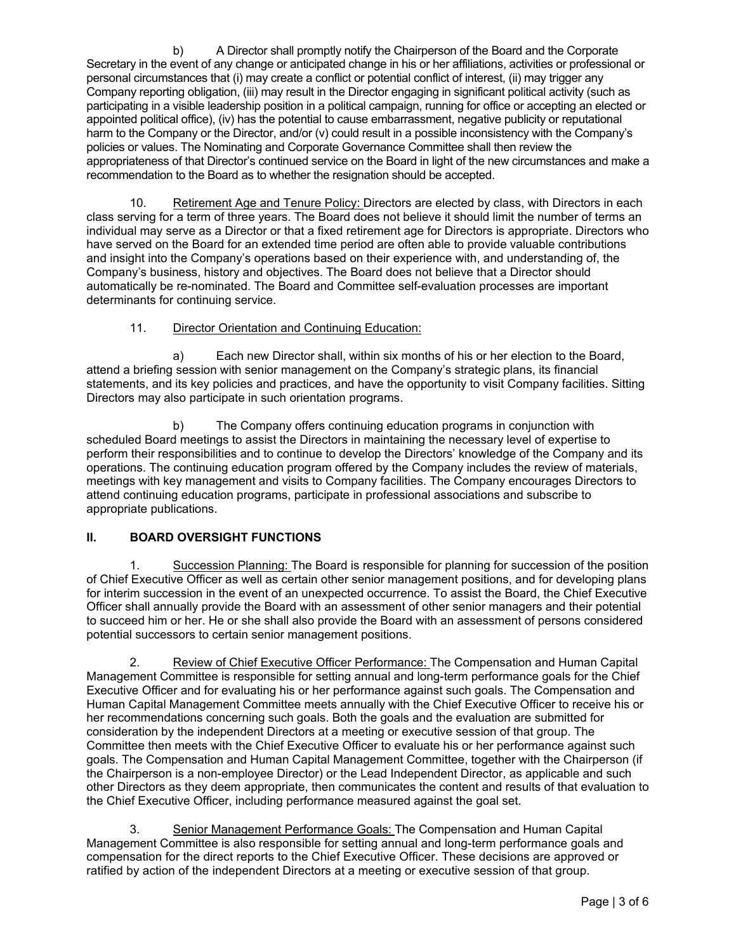b) A Director shall promptly notify the Chairperson of the Board and the Corporate Secretary in the event of any change or anticipated change in his or her affiliations, activities or professional or personal circumstances that (i) may create a conflict or potential conflict of interest, (ii) may trigger any Company reporting obligation, (iii) may result in the Director engaging in significant political activity (such as participating in a visible leadership position in a political campaign, running for office or accepting an elected or appointed political office), (iv) has the potential to cause embarrassment, negative publicity or reputational harm to the Company or the Director, and/or (v) could result in a possible inconsistency with the Company's policies or values. The Nominating and Corporate Governance Committee shall then review the appropriateness of that Director's continued service on the Board in light of the new circumstances and make a recommendation to the Board as to whether the resignation should be accepted.

10. Retirement Age and Tenure Policy: Directors are elected by class, with Directors in each class serving for a term of three years. The Board does not believe it should limit the number of terms an individual may serve as a Director or that a fixed retirement age for Directors is appropriate. Directors who have served on the Board for an extended time period are often able to provide valuable contributions and insight into the Company's operations based on their experience with, and understanding of, the Company's business, history and objectives. The Board does not believe that a Director should automatically be re-nominated. The Board and Committee self-evaluation processes are important determinants for continuing service.

## 11. Director Orientation and Continuing Education:

a) Each new Director shall, within six months of his or her election to the Board, attend a briefing session with senior management on the Company's strategic plans, its financial statements, and its key policies and practices, and have the opportunity to visit Company facilities. Sitting Directors may also participate in such orientation programs.

b) The Company offers continuing education programs in conjunction with scheduled Board meetings to assist the Directors in maintaining the necessary level of expertise to perform their responsibilities and to continue to develop the Directors' knowledge of the Company and its operations. The continuing education program offered by the Company includes the review of materials, meetings with key management and visits to Company facilities. The Company encourages Directors to attend continuing education programs, participate in professional associations and subscribe to appropriate publications.

#### **II. BOARD OVERSIGHT FUNCTIONS**

1. Succession Planning: The Board is responsible for planning for succession of the position of Chief Executive Officer as well as certain other senior management positions, and for developing plans for interim succession in the event of an unexpected occurrence. To assist the Board, the Chief Executive Officer shall annually provide the Board with an assessment of other senior managers and their potential to succeed him or her. He or she shall also provide the Board with an assessment of persons considered potential successors to certain senior management positions.

2. Review of Chief Executive Officer Performance: The Compensation and Human Capital Management Committee is responsible for setting annual and long-term performance goals for the Chief Executive Officer and for evaluating his or her performance against such goals. The Compensation and Human Capital Management Committee meets annually with the Chief Executive Officer to receive his or her recommendations concerning such goals. Both the goals and the evaluation are submitted for consideration by the independent Directors at a meeting or executive session of that group. The Committee then meets with the Chief Executive Officer to evaluate his or her performance against such goals. The Compensation and Human Capital Management Committee, together with the Chairperson (if the Chairperson is a non-employee Director) or the Lead Independent Director, as applicable and such other Directors as they deem appropriate, then communicates the content and results of that evaluation to the Chief Executive Officer, including performance measured against the goal set.

3. Senior Management Performance Goals: The Compensation and Human Capital Management Committee is also responsible for setting annual and long-term performance goals and compensation for the direct reports to the Chief Executive Officer. These decisions are approved or ratified by action of the independent Directors at a meeting or executive session of that group.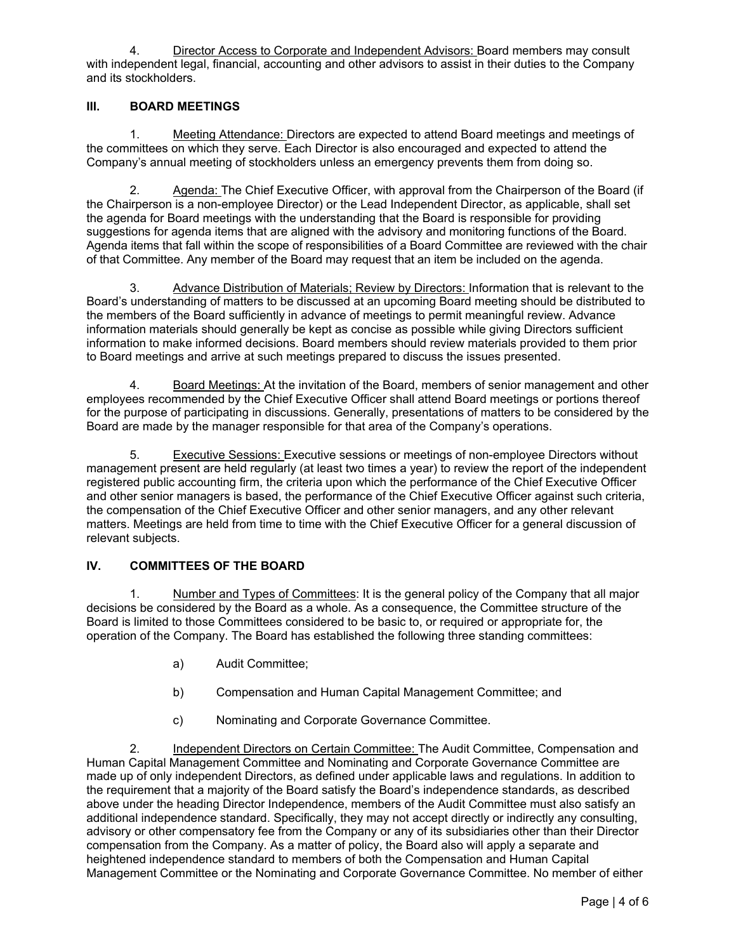4. Director Access to Corporate and Independent Advisors: Board members may consult with independent legal, financial, accounting and other advisors to assist in their duties to the Company and its stockholders.

#### **III. BOARD MEETINGS**

1. Meeting Attendance: Directors are expected to attend Board meetings and meetings of the committees on which they serve. Each Director is also encouraged and expected to attend the Company's annual meeting of stockholders unless an emergency prevents them from doing so.

2. Agenda: The Chief Executive Officer, with approval from the Chairperson of the Board (if the Chairperson is a non-employee Director) or the Lead Independent Director, as applicable, shall set the agenda for Board meetings with the understanding that the Board is responsible for providing suggestions for agenda items that are aligned with the advisory and monitoring functions of the Board. Agenda items that fall within the scope of responsibilities of a Board Committee are reviewed with the chair of that Committee. Any member of the Board may request that an item be included on the agenda.

3. Advance Distribution of Materials; Review by Directors: Information that is relevant to the Board's understanding of matters to be discussed at an upcoming Board meeting should be distributed to the members of the Board sufficiently in advance of meetings to permit meaningful review. Advance information materials should generally be kept as concise as possible while giving Directors sufficient information to make informed decisions. Board members should review materials provided to them prior to Board meetings and arrive at such meetings prepared to discuss the issues presented.

4. Board Meetings: At the invitation of the Board, members of senior management and other employees recommended by the Chief Executive Officer shall attend Board meetings or portions thereof for the purpose of participating in discussions. Generally, presentations of matters to be considered by the Board are made by the manager responsible for that area of the Company's operations.

5. Executive Sessions: Executive sessions or meetings of non-employee Directors without management present are held regularly (at least two times a year) to review the report of the independent registered public accounting firm, the criteria upon which the performance of the Chief Executive Officer and other senior managers is based, the performance of the Chief Executive Officer against such criteria, the compensation of the Chief Executive Officer and other senior managers, and any other relevant matters. Meetings are held from time to time with the Chief Executive Officer for a general discussion of relevant subjects.

#### **IV. COMMITTEES OF THE BOARD**

1. Number and Types of Committees: It is the general policy of the Company that all major decisions be considered by the Board as a whole. As a consequence, the Committee structure of the Board is limited to those Committees considered to be basic to, or required or appropriate for, the operation of the Company. The Board has established the following three standing committees:

- a) Audit Committee;
- b) Compensation and Human Capital Management Committee; and
- c) Nominating and Corporate Governance Committee.

2. Independent Directors on Certain Committee: The Audit Committee, Compensation and Human Capital Management Committee and Nominating and Corporate Governance Committee are made up of only independent Directors, as defined under applicable laws and regulations. In addition to the requirement that a majority of the Board satisfy the Board's independence standards, as described above under the heading Director Independence, members of the Audit Committee must also satisfy an additional independence standard. Specifically, they may not accept directly or indirectly any consulting, advisory or other compensatory fee from the Company or any of its subsidiaries other than their Director compensation from the Company. As a matter of policy, the Board also will apply a separate and heightened independence standard to members of both the Compensation and Human Capital Management Committee or the Nominating and Corporate Governance Committee. No member of either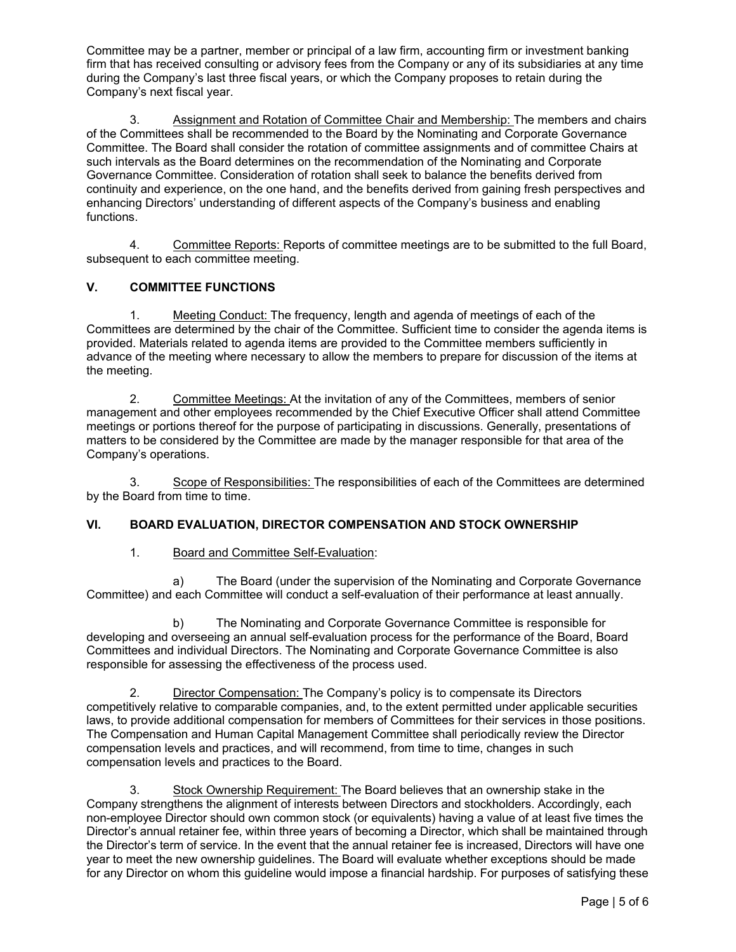Committee may be a partner, member or principal of a law firm, accounting firm or investment banking firm that has received consulting or advisory fees from the Company or any of its subsidiaries at any time during the Company's last three fiscal years, or which the Company proposes to retain during the Company's next fiscal year.

3. Assignment and Rotation of Committee Chair and Membership: The members and chairs of the Committees shall be recommended to the Board by the Nominating and Corporate Governance Committee. The Board shall consider the rotation of committee assignments and of committee Chairs at such intervals as the Board determines on the recommendation of the Nominating and Corporate Governance Committee. Consideration of rotation shall seek to balance the benefits derived from continuity and experience, on the one hand, and the benefits derived from gaining fresh perspectives and enhancing Directors' understanding of different aspects of the Company's business and enabling functions.

4. Committee Reports: Reports of committee meetings are to be submitted to the full Board, subsequent to each committee meeting.

# **V. COMMITTEE FUNCTIONS**

1. Meeting Conduct: The frequency, length and agenda of meetings of each of the Committees are determined by the chair of the Committee. Sufficient time to consider the agenda items is provided. Materials related to agenda items are provided to the Committee members sufficiently in advance of the meeting where necessary to allow the members to prepare for discussion of the items at the meeting.

2. Committee Meetings: At the invitation of any of the Committees, members of senior management and other employees recommended by the Chief Executive Officer shall attend Committee meetings or portions thereof for the purpose of participating in discussions. Generally, presentations of matters to be considered by the Committee are made by the manager responsible for that area of the Company's operations.

3. Scope of Responsibilities: The responsibilities of each of the Committees are determined by the Board from time to time.

#### **VI. BOARD EVALUATION, DIRECTOR COMPENSATION AND STOCK OWNERSHIP**

#### 1. Board and Committee Self-Evaluation:

a) The Board (under the supervision of the Nominating and Corporate Governance Committee) and each Committee will conduct a self-evaluation of their performance at least annually.

b) The Nominating and Corporate Governance Committee is responsible for developing and overseeing an annual self-evaluation process for the performance of the Board, Board Committees and individual Directors. The Nominating and Corporate Governance Committee is also responsible for assessing the effectiveness of the process used.

2. Director Compensation: The Company's policy is to compensate its Directors competitively relative to comparable companies, and, to the extent permitted under applicable securities laws, to provide additional compensation for members of Committees for their services in those positions. The Compensation and Human Capital Management Committee shall periodically review the Director compensation levels and practices, and will recommend, from time to time, changes in such compensation levels and practices to the Board.

3. Stock Ownership Requirement: The Board believes that an ownership stake in the Company strengthens the alignment of interests between Directors and stockholders. Accordingly, each non-employee Director should own common stock (or equivalents) having a value of at least five times the Director's annual retainer fee, within three years of becoming a Director, which shall be maintained through the Director's term of service. In the event that the annual retainer fee is increased, Directors will have one year to meet the new ownership guidelines. The Board will evaluate whether exceptions should be made for any Director on whom this guideline would impose a financial hardship. For purposes of satisfying these